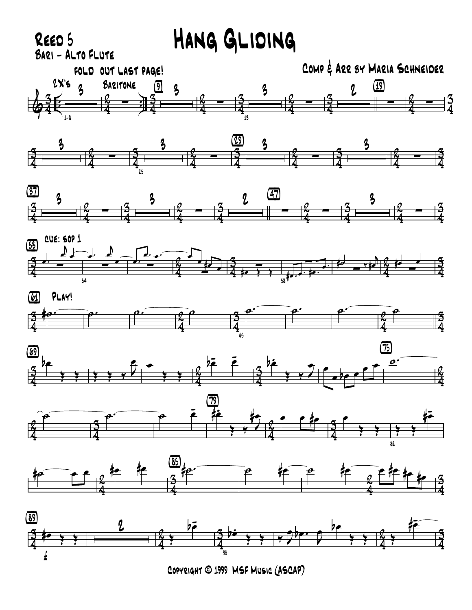

Copyright © 1999 MSF Music (ASCAP)